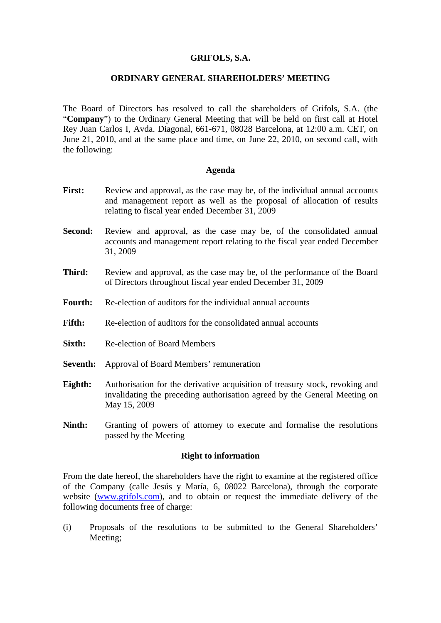### **GRIFOLS, S.A.**

### **ORDINARY GENERAL SHAREHOLDERS' MEETING**

The Board of Directors has resolved to call the shareholders of Grifols, S.A. (the "**Company**") to the Ordinary General Meeting that will be held on first call at Hotel Rey Juan Carlos I, Avda. Diagonal, 661-671, 08028 Barcelona, at 12:00 a.m. CET, on June 21, 2010, and at the same place and time, on June 22, 2010, on second call, with the following:

### **Agenda**

- First: Review and approval, as the case may be, of the individual annual accounts and management report as well as the proposal of allocation of results relating to fiscal year ended December 31, 2009
- **Second:** Review and approval, as the case may be, of the consolidated annual accounts and management report relating to the fiscal year ended December 31, 2009
- **Third:** Review and approval, as the case may be, of the performance of the Board of Directors throughout fiscal year ended December 31, 2009
- **Fourth:** Re-election of auditors for the individual annual accounts
- **Fifth:** Re-election of auditors for the consolidated annual accounts
- **Sixth:** Re-election of Board Members
- **Seventh:** Approval of Board Members' remuneration
- **Eighth:** Authorisation for the derivative acquisition of treasury stock, revoking and invalidating the preceding authorisation agreed by the General Meeting on May 15, 2009
- **Ninth:** Granting of powers of attorney to execute and formalise the resolutions passed by the Meeting

### **Right to information**

From the date hereof, the shareholders have the right to examine at the registered office of the Company (calle Jesús y María, 6, 08022 Barcelona), through the corporate website (www.grifols.com), and to obtain or request the immediate delivery of the following documents free of charge:

(i) Proposals of the resolutions to be submitted to the General Shareholders' Meeting;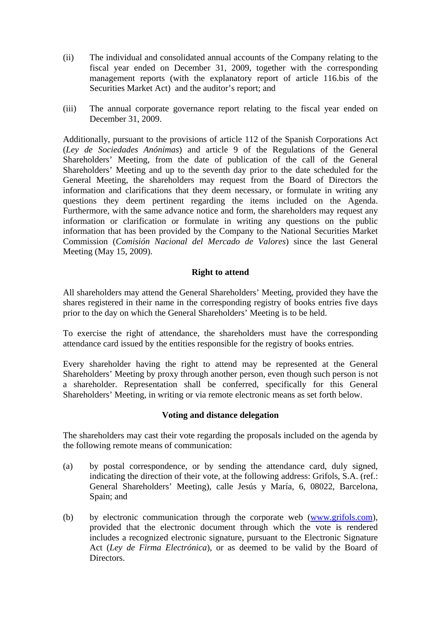- (ii) The individual and consolidated annual accounts of the Company relating to the fiscal year ended on December 31, 2009, together with the corresponding management reports (with the explanatory report of article 116.bis of the Securities Market Act) and the auditor's report; and
- (iii) The annual corporate governance report relating to the fiscal year ended on December 31, 2009.

Additionally, pursuant to the provisions of article 112 of the Spanish Corporations Act (*Ley de Sociedades Anónimas*) and article 9 of the Regulations of the General Shareholders' Meeting, from the date of publication of the call of the General Shareholders' Meeting and up to the seventh day prior to the date scheduled for the General Meeting, the shareholders may request from the Board of Directors the information and clarifications that they deem necessary, or formulate in writing any questions they deem pertinent regarding the items included on the Agenda. Furthermore, with the same advance notice and form, the shareholders may request any information or clarification or formulate in writing any questions on the public information that has been provided by the Company to the National Securities Market Commission (*Comisión Nacional del Mercado de Valores*) since the last General Meeting (May 15, 2009).

## **Right to attend**

All shareholders may attend the General Shareholders' Meeting, provided they have the shares registered in their name in the corresponding registry of books entries five days prior to the day on which the General Shareholders' Meeting is to be held.

To exercise the right of attendance, the shareholders must have the corresponding attendance card issued by the entities responsible for the registry of books entries.

Every shareholder having the right to attend may be represented at the General Shareholders' Meeting by proxy through another person, even though such person is not a shareholder. Representation shall be conferred, specifically for this General Shareholders' Meeting, in writing or via remote electronic means as set forth below.

## **Voting and distance delegation**

The shareholders may cast their vote regarding the proposals included on the agenda by the following remote means of communication:

- (a) by postal correspondence, or by sending the attendance card, duly signed, indicating the direction of their vote, at the following address: Grifols, S.A. (ref.: General Shareholders' Meeting), calle Jesús y María, 6, 08022, Barcelona, Spain; and
- (b) by electronic communication through the corporate web (www.grifols.com), provided that the electronic document through which the vote is rendered includes a recognized electronic signature, pursuant to the Electronic Signature Act (*Ley de Firma Electrónica*), or as deemed to be valid by the Board of Directors.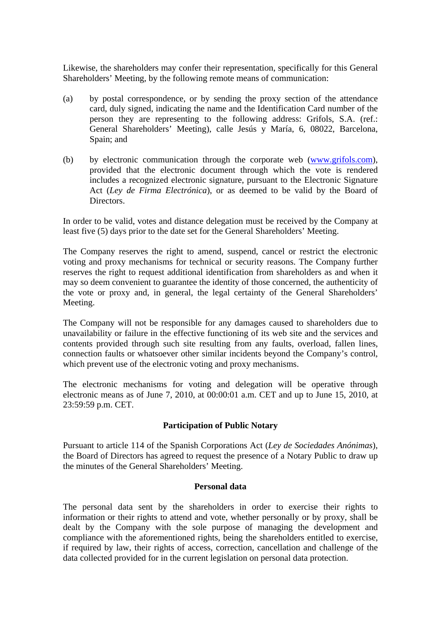Likewise, the shareholders may confer their representation, specifically for this General Shareholders' Meeting, by the following remote means of communication:

- (a) by postal correspondence, or by sending the proxy section of the attendance card, duly signed, indicating the name and the Identification Card number of the person they are representing to the following address: Grifols, S.A. (ref.: General Shareholders' Meeting), calle Jesús y María, 6, 08022, Barcelona, Spain; and
- (b) by electronic communication through the corporate web (www.grifols.com), provided that the electronic document through which the vote is rendered includes a recognized electronic signature, pursuant to the Electronic Signature Act (*Ley de Firma Electrónica*), or as deemed to be valid by the Board of Directors.

In order to be valid, votes and distance delegation must be received by the Company at least five (5) days prior to the date set for the General Shareholders' Meeting.

The Company reserves the right to amend, suspend, cancel or restrict the electronic voting and proxy mechanisms for technical or security reasons. The Company further reserves the right to request additional identification from shareholders as and when it may so deem convenient to guarantee the identity of those concerned, the authenticity of the vote or proxy and, in general, the legal certainty of the General Shareholders' Meeting.

The Company will not be responsible for any damages caused to shareholders due to unavailability or failure in the effective functioning of its web site and the services and contents provided through such site resulting from any faults, overload, fallen lines, connection faults or whatsoever other similar incidents beyond the Company's control, which prevent use of the electronic voting and proxy mechanisms.

The electronic mechanisms for voting and delegation will be operative through electronic means as of June 7, 2010, at 00:00:01 a.m. CET and up to June 15, 2010, at 23:59:59 p.m. CET.

# **Participation of Public Notary**

Pursuant to article 114 of the Spanish Corporations Act (*Ley de Sociedades Anónimas*), the Board of Directors has agreed to request the presence of a Notary Public to draw up the minutes of the General Shareholders' Meeting.

## **Personal data**

The personal data sent by the shareholders in order to exercise their rights to information or their rights to attend and vote, whether personally or by proxy, shall be dealt by the Company with the sole purpose of managing the development and compliance with the aforementioned rights, being the shareholders entitled to exercise, if required by law, their rights of access, correction, cancellation and challenge of the data collected provided for in the current legislation on personal data protection.